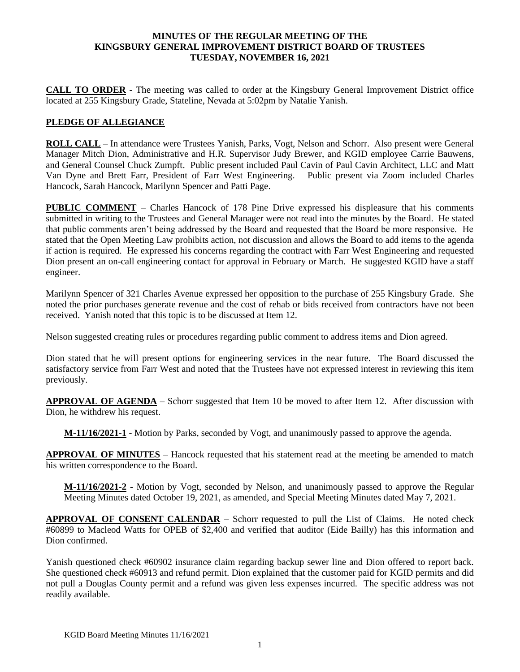#### **MINUTES OF THE REGULAR MEETING OF THE KINGSBURY GENERAL IMPROVEMENT DISTRICT BOARD OF TRUSTEES TUESDAY, NOVEMBER 16, 2021**

**CALL TO ORDER -** The meeting was called to order at the Kingsbury General Improvement District office located at 255 Kingsbury Grade, Stateline, Nevada at 5:02pm by Natalie Yanish.

### **PLEDGE OF ALLEGIANCE**

**ROLL CALL** – In attendance were Trustees Yanish, Parks, Vogt, Nelson and Schorr. Also present were General Manager Mitch Dion, Administrative and H.R. Supervisor Judy Brewer, and KGID employee Carrie Bauwens, and General Counsel Chuck Zumpft. Public present included Paul Cavin of Paul Cavin Architect, LLC and Matt Van Dyne and Brett Farr, President of Farr West Engineering. Public present via Zoom included Charles Hancock, Sarah Hancock, Marilynn Spencer and Patti Page.

**PUBLIC COMMENT** – Charles Hancock of 178 Pine Drive expressed his displeasure that his comments submitted in writing to the Trustees and General Manager were not read into the minutes by the Board. He stated that public comments aren't being addressed by the Board and requested that the Board be more responsive. He stated that the Open Meeting Law prohibits action, not discussion and allows the Board to add items to the agenda if action is required. He expressed his concerns regarding the contract with Farr West Engineering and requested Dion present an on-call engineering contact for approval in February or March. He suggested KGID have a staff engineer.

Marilynn Spencer of 321 Charles Avenue expressed her opposition to the purchase of 255 Kingsbury Grade. She noted the prior purchases generate revenue and the cost of rehab or bids received from contractors have not been received. Yanish noted that this topic is to be discussed at Item 12.

Nelson suggested creating rules or procedures regarding public comment to address items and Dion agreed.

Dion stated that he will present options for engineering services in the near future. The Board discussed the satisfactory service from Farr West and noted that the Trustees have not expressed interest in reviewing this item previously.

**APPROVAL OF AGENDA** – Schorr suggested that Item 10 be moved to after Item 12. After discussion with Dion, he withdrew his request.

**M-11/16/2021-1 -** Motion by Parks, seconded by Vogt, and unanimously passed to approve the agenda.

**APPROVAL OF MINUTES** – Hancock requested that his statement read at the meeting be amended to match his written correspondence to the Board.

**M-11/16/2021-2 -** Motion by Vogt, seconded by Nelson, and unanimously passed to approve the Regular Meeting Minutes dated October 19, 2021, as amended, and Special Meeting Minutes dated May 7, 2021.

**APPROVAL OF CONSENT CALENDAR** – Schorr requested to pull the List of Claims. He noted check #60899 to Macleod Watts for OPEB of \$2,400 and verified that auditor (Eide Bailly) has this information and Dion confirmed.

Yanish questioned check #60902 insurance claim regarding backup sewer line and Dion offered to report back. She questioned check #60913 and refund permit. Dion explained that the customer paid for KGID permits and did not pull a Douglas County permit and a refund was given less expenses incurred. The specific address was not readily available.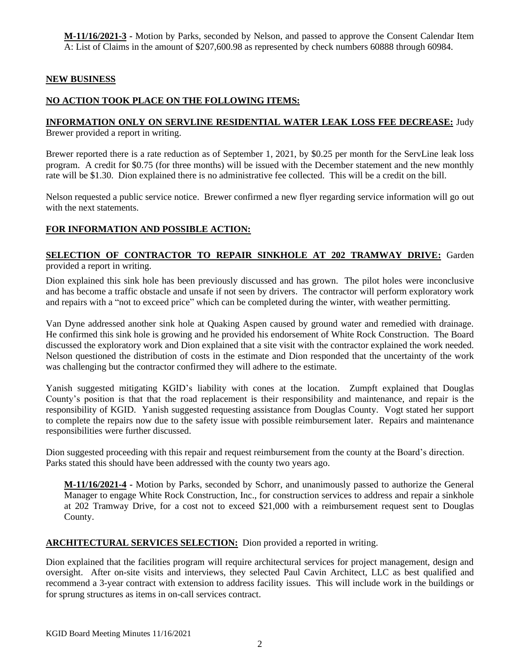**M-11/16/2021-3 -** Motion by Parks, seconded by Nelson, and passed to approve the Consent Calendar Item A: List of Claims in the amount of \$207,600.98 as represented by check numbers 60888 through 60984.

### **NEW BUSINESS**

# **NO ACTION TOOK PLACE ON THE FOLLOWING ITEMS:**

# **INFORMATION ONLY ON SERVLINE RESIDENTIAL WATER LEAK LOSS FEE DECREASE:** Judy

Brewer provided a report in writing.

Brewer reported there is a rate reduction as of September 1, 2021, by \$0.25 per month for the ServLine leak loss program. A credit for \$0.75 (for three months) will be issued with the December statement and the new monthly rate will be \$1.30. Dion explained there is no administrative fee collected. This will be a credit on the bill.

Nelson requested a public service notice. Brewer confirmed a new flyer regarding service information will go out with the next statements.

## **FOR INFORMATION AND POSSIBLE ACTION:**

#### **SELECTION OF CONTRACTOR TO REPAIR SINKHOLE AT 202 TRAMWAY DRIVE:** Garden provided a report in writing.

Dion explained this sink hole has been previously discussed and has grown. The pilot holes were inconclusive and has become a traffic obstacle and unsafe if not seen by drivers. The contractor will perform exploratory work and repairs with a "not to exceed price" which can be completed during the winter, with weather permitting.

Van Dyne addressed another sink hole at Quaking Aspen caused by ground water and remedied with drainage. He confirmed this sink hole is growing and he provided his endorsement of White Rock Construction. The Board discussed the exploratory work and Dion explained that a site visit with the contractor explained the work needed. Nelson questioned the distribution of costs in the estimate and Dion responded that the uncertainty of the work was challenging but the contractor confirmed they will adhere to the estimate.

Yanish suggested mitigating KGID's liability with cones at the location. Zumpft explained that Douglas County's position is that that the road replacement is their responsibility and maintenance, and repair is the responsibility of KGID. Yanish suggested requesting assistance from Douglas County. Vogt stated her support to complete the repairs now due to the safety issue with possible reimbursement later. Repairs and maintenance responsibilities were further discussed.

Dion suggested proceeding with this repair and request reimbursement from the county at the Board's direction. Parks stated this should have been addressed with the county two years ago.

**M-11/16/2021-4 -** Motion by Parks, seconded by Schorr, and unanimously passed to authorize the General Manager to engage White Rock Construction, Inc., for construction services to address and repair a sinkhole at 202 Tramway Drive, for a cost not to exceed \$21,000 with a reimbursement request sent to Douglas County.

### **ARCHITECTURAL SERVICES SELECTION:** Dion provided a reported in writing.

Dion explained that the facilities program will require architectural services for project management, design and oversight. After on-site visits and interviews, they selected Paul Cavin Architect, LLC as best qualified and recommend a 3-year contract with extension to address facility issues. This will include work in the buildings or for sprung structures as items in on-call services contract.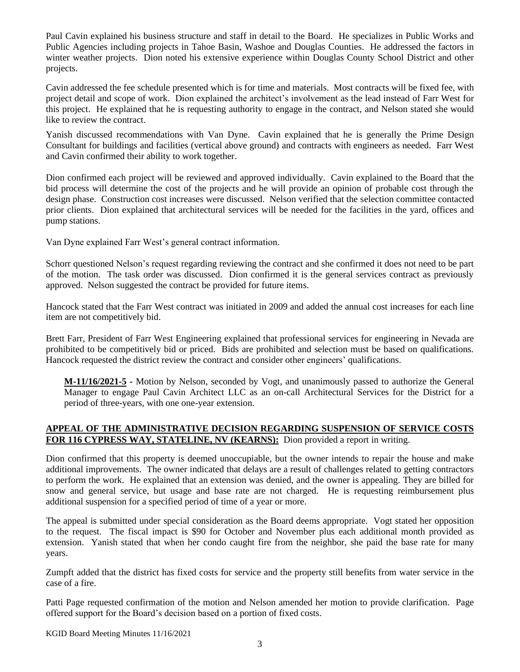Paul Cavin explained his business structure and staff in detail to the Board. He specializes in Public Works and Public Agencies including projects in Tahoe Basin, Washoe and Douglas Counties. He addressed the factors in winter weather projects. Dion noted his extensive experience within Douglas County School District and other projects.

Cavin addressed the fee schedule presented which is for time and materials. Most contracts will be fixed fee, with project detail and scope of work. Dion explained the architect's involvement as the lead instead of Farr West for this project. He explained that he is requesting authority to engage in the contract, and Nelson stated she would like to review the contract.

Yanish discussed recommendations with Van Dyne. Cavin explained that he is generally the Prime Design Consultant for buildings and facilities (vertical above ground) and contracts with engineers as needed. Farr West and Cavin confirmed their ability to work together.

Dion confirmed each project will be reviewed and approved individually. Cavin explained to the Board that the bid process will determine the cost of the projects and he will provide an opinion of probable cost through the design phase. Construction cost increases were discussed. Nelson verified that the selection committee contacted prior clients. Dion explained that architectural services will be needed for the facilities in the yard, offices and pump stations.

Van Dyne explained Farr West's general contract information.

Schorr questioned Nelson's request regarding reviewing the contract and she confirmed it does not need to be part of the motion. The task order was discussed. Dion confirmed it is the general services contract as previously approved. Nelson suggested the contract be provided for future items.

Hancock stated that the Farr West contract was initiated in 2009 and added the annual cost increases for each line item are not competitively bid.

Brett Farr, President of Farr West Engineering explained that professional services for engineering in Nevada are prohibited to be competitively bid or priced. Bids are prohibited and selection must be based on qualifications. Hancock requested the district review the contract and consider other engineers' qualifications.

**M-11/16/2021-5 -** Motion by Nelson, seconded by Vogt, and unanimously passed to authorize the General Manager to engage Paul Cavin Architect LLC as an on-call Architectural Services for the District for a period of three-years, with one one-year extension.

# **APPEAL OF THE ADMINISTRATIVE DECISION REGARDING SUSPENSION OF SERVICE COSTS FOR 116 CYPRESS WAY, STATELINE, NV (KEARNS):** Dion provided a report in writing.

Dion confirmed that this property is deemed unoccupiable, but the owner intends to repair the house and make additional improvements. The owner indicated that delays are a result of challenges related to getting contractors to perform the work. He explained that an extension was denied, and the owner is appealing. They are billed for snow and general service, but usage and base rate are not charged. He is requesting reimbursement plus additional suspension for a specified period of time of a year or more.

The appeal is submitted under special consideration as the Board deems appropriate. Vogt stated her opposition to the request. The fiscal impact is \$90 for October and November plus each additional month provided as extension. Yanish stated that when her condo caught fire from the neighbor, she paid the base rate for many years.

Zumpft added that the district has fixed costs for service and the property still benefits from water service in the case of a fire.

Patti Page requested confirmation of the motion and Nelson amended her motion to provide clarification. Page offered support for the Board's decision based on a portion of fixed costs.

KGID Board Meeting Minutes 11/16/2021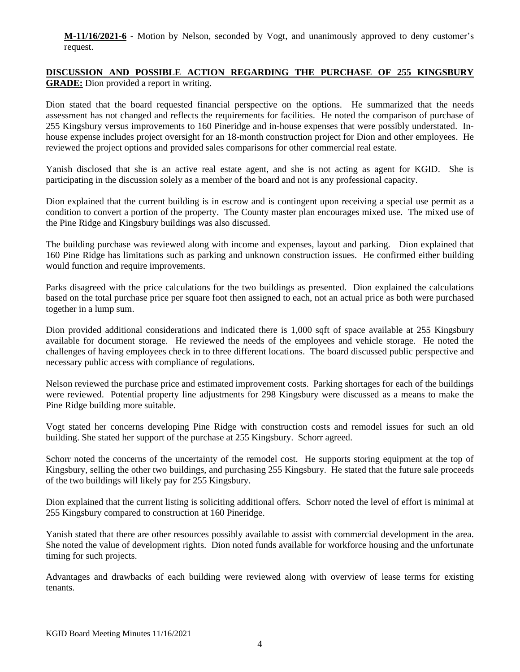**M-11/16/2021-6 -** Motion by Nelson, seconded by Vogt, and unanimously approved to deny customer's request.

## **DISCUSSION AND POSSIBLE ACTION REGARDING THE PURCHASE OF 255 KINGSBURY GRADE:** Dion provided a report in writing.

Dion stated that the board requested financial perspective on the options. He summarized that the needs assessment has not changed and reflects the requirements for facilities. He noted the comparison of purchase of 255 Kingsbury versus improvements to 160 Pineridge and in-house expenses that were possibly understated. Inhouse expense includes project oversight for an 18-month construction project for Dion and other employees. He reviewed the project options and provided sales comparisons for other commercial real estate.

Yanish disclosed that she is an active real estate agent, and she is not acting as agent for KGID. She is participating in the discussion solely as a member of the board and not is any professional capacity.

Dion explained that the current building is in escrow and is contingent upon receiving a special use permit as a condition to convert a portion of the property. The County master plan encourages mixed use. The mixed use of the Pine Ridge and Kingsbury buildings was also discussed.

The building purchase was reviewed along with income and expenses, layout and parking. Dion explained that 160 Pine Ridge has limitations such as parking and unknown construction issues. He confirmed either building would function and require improvements.

Parks disagreed with the price calculations for the two buildings as presented. Dion explained the calculations based on the total purchase price per square foot then assigned to each, not an actual price as both were purchased together in a lump sum.

Dion provided additional considerations and indicated there is 1,000 sqft of space available at 255 Kingsbury available for document storage. He reviewed the needs of the employees and vehicle storage. He noted the challenges of having employees check in to three different locations. The board discussed public perspective and necessary public access with compliance of regulations.

Nelson reviewed the purchase price and estimated improvement costs. Parking shortages for each of the buildings were reviewed. Potential property line adjustments for 298 Kingsbury were discussed as a means to make the Pine Ridge building more suitable.

Vogt stated her concerns developing Pine Ridge with construction costs and remodel issues for such an old building. She stated her support of the purchase at 255 Kingsbury. Schorr agreed.

Schorr noted the concerns of the uncertainty of the remodel cost. He supports storing equipment at the top of Kingsbury, selling the other two buildings, and purchasing 255 Kingsbury. He stated that the future sale proceeds of the two buildings will likely pay for 255 Kingsbury.

Dion explained that the current listing is soliciting additional offers. Schorr noted the level of effort is minimal at 255 Kingsbury compared to construction at 160 Pineridge.

Yanish stated that there are other resources possibly available to assist with commercial development in the area. She noted the value of development rights. Dion noted funds available for workforce housing and the unfortunate timing for such projects.

Advantages and drawbacks of each building were reviewed along with overview of lease terms for existing tenants.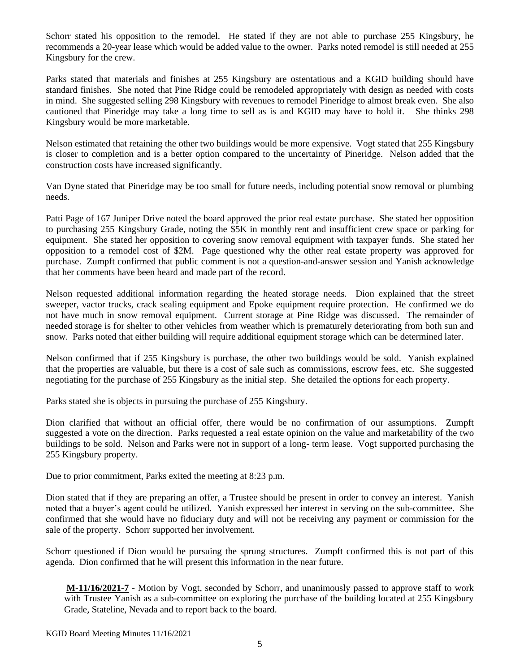Schorr stated his opposition to the remodel. He stated if they are not able to purchase 255 Kingsbury, he recommends a 20-year lease which would be added value to the owner. Parks noted remodel is still needed at 255 Kingsbury for the crew.

Parks stated that materials and finishes at 255 Kingsbury are ostentatious and a KGID building should have standard finishes. She noted that Pine Ridge could be remodeled appropriately with design as needed with costs in mind. She suggested selling 298 Kingsbury with revenues to remodel Pineridge to almost break even. She also cautioned that Pineridge may take a long time to sell as is and KGID may have to hold it. She thinks 298 Kingsbury would be more marketable.

Nelson estimated that retaining the other two buildings would be more expensive. Vogt stated that 255 Kingsbury is closer to completion and is a better option compared to the uncertainty of Pineridge. Nelson added that the construction costs have increased significantly.

Van Dyne stated that Pineridge may be too small for future needs, including potential snow removal or plumbing needs.

Patti Page of 167 Juniper Drive noted the board approved the prior real estate purchase. She stated her opposition to purchasing 255 Kingsbury Grade, noting the \$5K in monthly rent and insufficient crew space or parking for equipment. She stated her opposition to covering snow removal equipment with taxpayer funds. She stated her opposition to a remodel cost of \$2M. Page questioned why the other real estate property was approved for purchase. Zumpft confirmed that public comment is not a question-and-answer session and Yanish acknowledge that her comments have been heard and made part of the record.

Nelson requested additional information regarding the heated storage needs. Dion explained that the street sweeper, vactor trucks, crack sealing equipment and Epoke equipment require protection. He confirmed we do not have much in snow removal equipment. Current storage at Pine Ridge was discussed. The remainder of needed storage is for shelter to other vehicles from weather which is prematurely deteriorating from both sun and snow. Parks noted that either building will require additional equipment storage which can be determined later.

Nelson confirmed that if 255 Kingsbury is purchase, the other two buildings would be sold. Yanish explained that the properties are valuable, but there is a cost of sale such as commissions, escrow fees, etc. She suggested negotiating for the purchase of 255 Kingsbury as the initial step. She detailed the options for each property.

Parks stated she is objects in pursuing the purchase of 255 Kingsbury.

Dion clarified that without an official offer, there would be no confirmation of our assumptions. Zumpft suggested a vote on the direction. Parks requested a real estate opinion on the value and marketability of the two buildings to be sold. Nelson and Parks were not in support of a long- term lease. Vogt supported purchasing the 255 Kingsbury property.

Due to prior commitment, Parks exited the meeting at 8:23 p.m.

Dion stated that if they are preparing an offer, a Trustee should be present in order to convey an interest. Yanish noted that a buyer's agent could be utilized. Yanish expressed her interest in serving on the sub-committee. She confirmed that she would have no fiduciary duty and will not be receiving any payment or commission for the sale of the property. Schorr supported her involvement.

Schorr questioned if Dion would be pursuing the sprung structures. Zumpft confirmed this is not part of this agenda. Dion confirmed that he will present this information in the near future.

**M-11/16/2021-7 -** Motion by Vogt, seconded by Schorr, and unanimously passed to approve staff to work with Trustee Yanish as a sub-committee on exploring the purchase of the building located at 255 Kingsbury Grade, Stateline, Nevada and to report back to the board.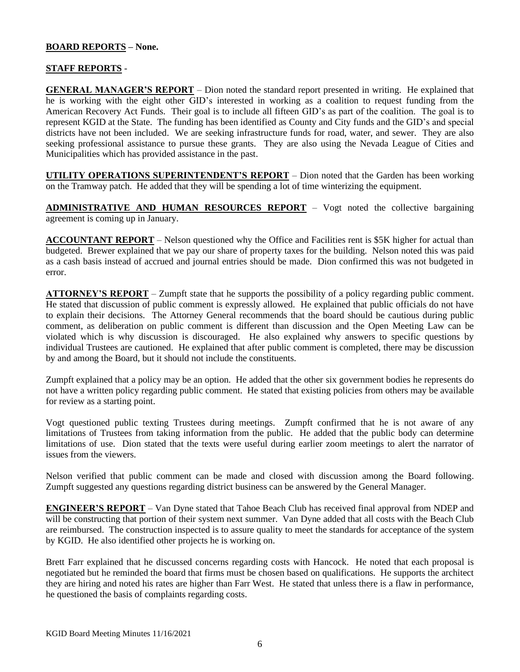# **BOARD REPORTS – None.**

### **STAFF REPORTS** -

**GENERAL MANAGER'S REPORT** – Dion noted the standard report presented in writing. He explained that he is working with the eight other GID's interested in working as a coalition to request funding from the American Recovery Act Funds. Their goal is to include all fifteen GID's as part of the coalition. The goal is to represent KGID at the State. The funding has been identified as County and City funds and the GID's and special districts have not been included. We are seeking infrastructure funds for road, water, and sewer. They are also seeking professional assistance to pursue these grants. They are also using the Nevada League of Cities and Municipalities which has provided assistance in the past.

**UTILITY OPERATIONS SUPERINTENDENT'S REPORT** – Dion noted that the Garden has been working on the Tramway patch. He added that they will be spending a lot of time winterizing the equipment.

**ADMINISTRATIVE AND HUMAN RESOURCES REPORT** – Vogt noted the collective bargaining agreement is coming up in January.

**ACCOUNTANT REPORT** – Nelson questioned why the Office and Facilities rent is \$5K higher for actual than budgeted. Brewer explained that we pay our share of property taxes for the building. Nelson noted this was paid as a cash basis instead of accrued and journal entries should be made. Dion confirmed this was not budgeted in error.

**ATTORNEY'S REPORT** – Zumpft state that he supports the possibility of a policy regarding public comment. He stated that discussion of public comment is expressly allowed. He explained that public officials do not have to explain their decisions. The Attorney General recommends that the board should be cautious during public comment, as deliberation on public comment is different than discussion and the Open Meeting Law can be violated which is why discussion is discouraged. He also explained why answers to specific questions by individual Trustees are cautioned. He explained that after public comment is completed, there may be discussion by and among the Board, but it should not include the constituents.

Zumpft explained that a policy may be an option. He added that the other six government bodies he represents do not have a written policy regarding public comment. He stated that existing policies from others may be available for review as a starting point.

Vogt questioned public texting Trustees during meetings. Zumpft confirmed that he is not aware of any limitations of Trustees from taking information from the public. He added that the public body can determine limitations of use. Dion stated that the texts were useful during earlier zoom meetings to alert the narrator of issues from the viewers.

Nelson verified that public comment can be made and closed with discussion among the Board following. Zumpft suggested any questions regarding district business can be answered by the General Manager.

**ENGINEER'S REPORT** – Van Dyne stated that Tahoe Beach Club has received final approval from NDEP and will be constructing that portion of their system next summer. Van Dyne added that all costs with the Beach Club are reimbursed. The construction inspected is to assure quality to meet the standards for acceptance of the system by KGID. He also identified other projects he is working on.

Brett Farr explained that he discussed concerns regarding costs with Hancock. He noted that each proposal is negotiated but he reminded the board that firms must be chosen based on qualifications. He supports the architect they are hiring and noted his rates are higher than Farr West. He stated that unless there is a flaw in performance, he questioned the basis of complaints regarding costs.